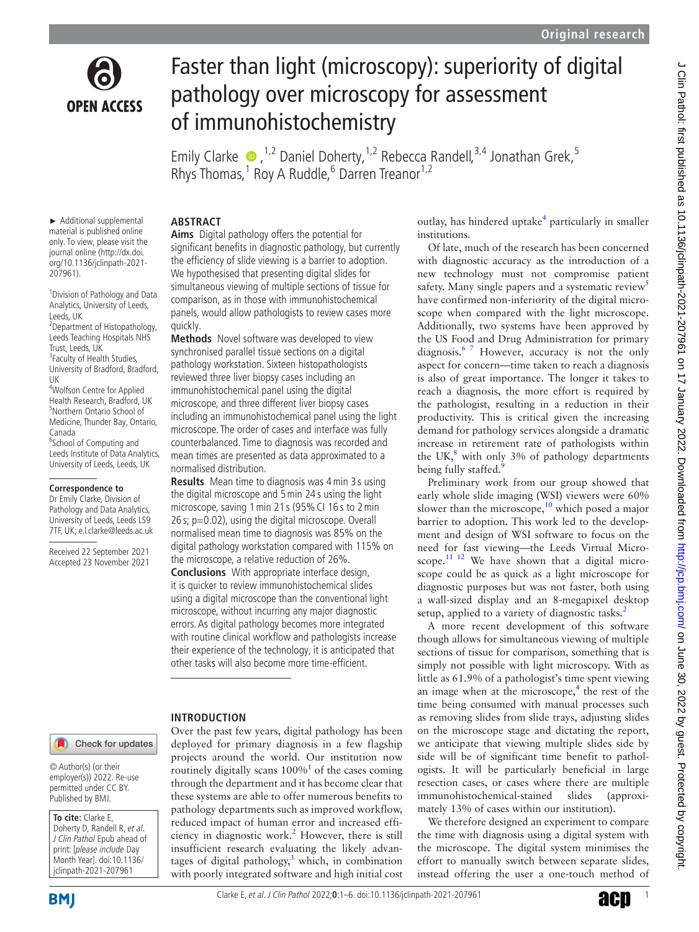

# Faster than light (microscopy): superiority of digital pathology over microscopy for assessment of immunohistochemistry

EmilyClarke  $\bullet$ , <sup>1,2</sup> Daniel Doherty, <sup>1,2</sup> Rebecca Randell, <sup>3,4</sup> Jonathan Grek, <sup>5</sup> Rhys Thomas, <sup>1</sup> Roy A Ruddle, <sup>6</sup> Darren Treanor<sup>1,2</sup>

► Additional supplemental material is published online only. To view, please visit the journal online ([http://dx.doi.](http://dx.doi.org/10.1136/jclinpath-2021-207961) [org/10.1136/jclinpath-2021-](http://dx.doi.org/10.1136/jclinpath-2021-207961) [207961](http://dx.doi.org/10.1136/jclinpath-2021-207961)).

1 Division of Pathology and Data Analytics, University of Leeds, Leeds, UK 2 Department of Histopathology, Leeds Teaching Hospitals NHS Trust, Leeds, UK <sup>3</sup> Faculty of Health Studies, University of Bradford, Bradford, UK 4 Wolfson Centre for Applied Health Research, Bradford, UK

5 Northern Ontario School of Medicine, Thunder Bay, Ontario, Canada <sup>6</sup>School of Computing and Leeds Institute of Data Analytics,

University of Leeds, Leeds, UK

### **Correspondence to**

Dr Emily Clarke, Division of Pathology and Data Analytics, University of Leeds, Leeds LS9 7TF, UK; e.l.clarke@leeds.ac.uk

Received 22 September 2021 Accepted 23 November 2021

# **ABSTRACT**

**Aims** Digital pathology offers the potential for significant benefits in diagnostic pathology, but currently the efficiency of slide viewing is a barrier to adoption. We hypothesised that presenting digital slides for simultaneous viewing of multiple sections of tissue for comparison, as in those with immunohistochemical panels, would allow pathologists to review cases more quickly.

**Methods** Novel software was developed to view synchronised parallel tissue sections on a digital pathology workstation. Sixteen histopathologists reviewed three liver biopsy cases including an immunohistochemical panel using the digital microscope, and three different liver biopsy cases including an immunohistochemical panel using the light microscope. The order of cases and interface was fully counterbalanced. Time to diagnosis was recorded and mean times are presented as data approximated to a normalised distribution.

**Results** Mean time to diagnosis was 4min 3 s using the digital microscope and 5min 24 s using the light microscope, saving 1min 21 s (95%CI 16 s to 2min 26 s; p=0.02), using the digital microscope. Overall normalised mean time to diagnosis was 85% on the digital pathology workstation compared with 115% on the microscope, a relative reduction of 26%.

**Conclusions** With appropriate interface design, it is quicker to review immunohistochemical slides using a digital microscope than the conventional light microscope, without incurring any major diagnostic errors. As digital pathology becomes more integrated with routine clinical workflow and pathologists increase their experience of the technology, it is anticipated that other tasks will also become more time-efficient.

# **INTRODUCTION**

Over the past few years, digital pathology has been deployed for primary diagnosis in a few flagship projects around the world. Our institution now routinely digitally scans  $100\%$  $100\%$ <sup>1</sup> of the cases coming through the department and it has become clear that these systems are able to offer numerous benefits to pathology departments such as improved workflow, reduced impact of human error and increased effi-ciency in diagnostic work.<sup>[2](#page-5-1)</sup> However, there is still insufficient research evaluating the likely advantages of digital pathology, $3$  which, in combination with poorly integrated software and high initial cost

outlay, has hindered uptake<sup>4</sup> particularly in smaller institutions.

Of late, much of the research has been concerned with diagnostic accuracy as the introduction of a new technology must not compromise patient safety. Many single papers and a systematic review<sup>[5](#page-5-4)</sup> have confirmed non-inferiority of the digital microscope when compared with the light microscope. Additionally, two systems have been approved by the US Food and Drug Administration for primary diagnosis.<sup>67</sup> However, accuracy is not the only aspect for concern—time taken to reach a diagnosis is also of great importance. The longer it takes to reach a diagnosis, the more effort is required by the pathologist, resulting in a reduction in their productivity. This is critical given the increasing demand for pathology services alongside a dramatic increase in retirement rate of pathologists within the UK, $^8$  $^8$  with only 3% of pathology departments being fully staffed.

Preliminary work from our group showed that early whole slide imaging (WSI) viewers were 60% slower than the microscope, $10$  which posed a major barrier to adoption. This work led to the development and design of WSI software to focus on the need for fast viewing—the Leeds Virtual Microscope. $11$ <sup>12</sup> We have shown that a digital microscope could be as quick as a light microscope for diagnostic purposes but was not faster, both using a wall-sized display and an 8-megapixel desktop setup, applied to a variety of diagnostic tasks.<sup>[2](#page-5-1)</sup>

A more recent development of this software though allows for simultaneous viewing of multiple sections of tissue for comparison, something that is simply not possible with light microscopy. With as little as 61.9% of a pathologist's time spent viewing an image when at the microscope, $4$  the rest of the time being consumed with manual processes such as removing slides from slide trays, adjusting slides on the microscope stage and dictating the report, we anticipate that viewing multiple slides side by side will be of significant time benefit to pathologists. It will be particularly beneficial in large resection cases, or cases where there are multiple immunohistochemical-stained slides (approximately 13% of cases within our institution).

We therefore designed an experiment to compare the time with diagnosis using a digital system with the microscope. The digital system minimises the effort to manually switch between separate slides, instead offering the user a one-touch method of

Check for updates

© Author(s) (or their employer(s)) 2022. Re-use permitted under CC BY. Published by BMJ.

**To cite:** Clarke E, Doherty D, Randell R, et al. J Clin Pathol Epub ahead of print: [please include Day Month Year]. doi:10.1136/ jclinpath-2021-207961

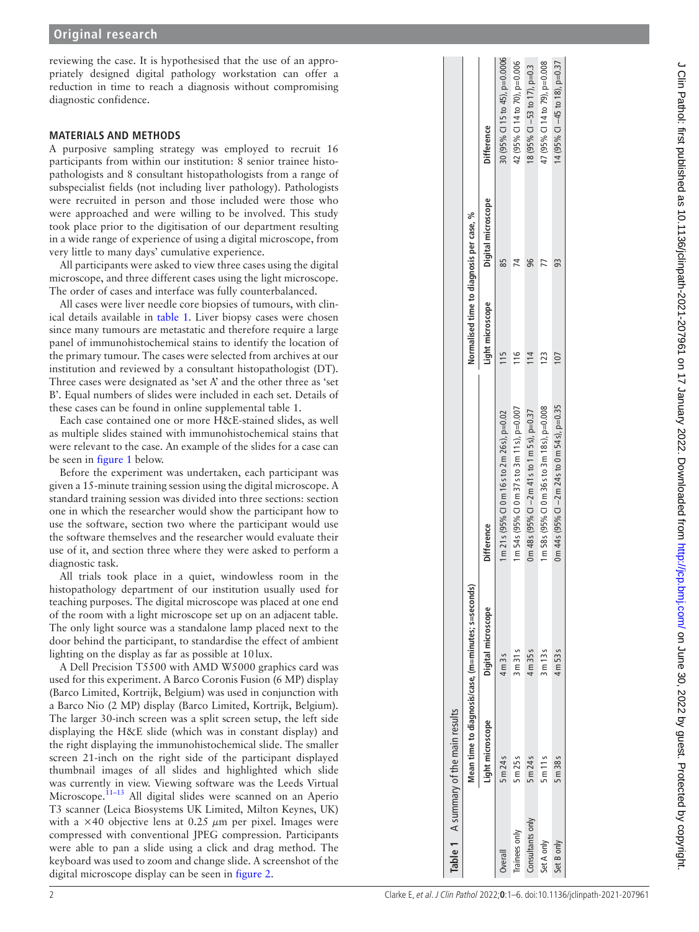reviewing the case. It is hypothesised that the use of an appropriately designed digital pathology workstation can offer a reduction in time to reach a diagnosis without compromising diagnostic confidence.

## **MATERIALS AND METHODS**

A purposive sampling strategy was employed to recruit 16 participants from within our institution: 8 senior trainee histopathologists and 8 consultant histopathologists from a range of subspecialist fields (not including liver pathology). Pathologists were recruited in person and those included were those who were approached and were willing to be involved. This study took place prior to the digitisation of our department resulting in a wide range of experience of using a digital microscope, from very little to many days' cumulative experience.

All participants were asked to view three cases using the digital microscope, and three different cases using the light microscope. The order of cases and interface was fully counterbalanced.

All cases were liver needle core biopsies of tumours, with clinical details available in [table](#page-1-0) 1. Liver biopsy cases were chosen since many tumours are metastatic and therefore require a large panel of immunohistochemical stains to identify the location of the primary tumour. The cases were selected from archives at our institution and reviewed by a consultant histopathologist (DT). Three cases were designated as 'set A' and the other three as 'set B'. Equal numbers of slides were included in each set. Details of these cases can be found in [online supplemental table 1.](https://dx.doi.org/10.1136/jclinpath-2021-207961)

Each case contained one or more H&E-stained slides, as well as multiple slides stained with immunohistochemical stains that were relevant to the case. An example of the slides for a case can be seen in [figure](#page-2-0) 1 below.

Before the experiment was undertaken, each participant was given a 15-minute training session using the digital microscope. A standard training session was divided into three sections: section one in which the researcher would show the participant how to use the software, section two where the participant would use the software themselves and the researcher would evaluate their use of it, and section three where they were asked to perform a diagnostic task.

All trials took place in a quiet, windowless room in the histopathology department of our institution usually used for teaching purposes. The digital microscope was placed at one end of the room with a light microscope set up on an adjacent table. The only light source was a standalone lamp placed next to the door behind the participant, to standardise the effect of ambient lighting on the display as far as possible at 10lux.

<span id="page-1-0"></span>A Dell Precision T5500 with AMD W5000 graphics card was used for this experiment. A Barco Coronis Fusion (6 MP) display (Barco Limited, Kortrijk, Belgium) was used in conjunction with a Barco Nio (2 MP) display (Barco Limited, Kortrijk, Belgium). The larger 30-inch screen was a split screen setup, the left side displaying the H&E slide (which was in constant display) and the right displaying the immunohistochemical slide. The smaller screen 21-inch on the right side of the participant displayed thumbnail images of all slides and highlighted which slide was currently in view. Viewing software was the Leeds Virtual Microscope.<sup>[11–13](#page-5-9)</sup> All digital slides were scanned on an Aperio T3 scanner (Leica Biosystems UK Limited, Milton Keynes, UK) with a  $\times$ 40 objective lens at 0.25  $\mu$ m per pixel. Images were compressed with conventional JPEG compression. Participants were able to pan a slide using a click and drag method. The keyboard was used to zoom and change slide. A screenshot of the digital microscope display can be seen in [figure](#page-2-1) 2.

|                  |                  | Mean time to diagnosis/case, (m=minutes; s=seconds) |                                                                                                                         | Normalised time to diagnosis per case, % |                    |                                |
|------------------|------------------|-----------------------------------------------------|-------------------------------------------------------------------------------------------------------------------------|------------------------------------------|--------------------|--------------------------------|
|                  | Light microscope | Digital microscope                                  | <b>Difference</b>                                                                                                       | Light microscope                         | Digital microscope | <b>Difference</b>              |
| Overall          | 5 m 24 s         | 4m 3s                                               | 1 m 21 s (95% CI 0 m 16 s to 2 m 26 s), p=0.02                                                                          |                                          | 85                 | 30 (95% CI 15 to 45), p=0.0006 |
| Trainees only    | 5m25s            | 3m31s                                               | 1 m 54 s (95% Cl 0 m 37 s to 3 m 11 s), p=0.007                                                                         | $\frac{6}{1}$                            |                    | 42 (95% CI 14 to 70), p=0.006  |
| Consultants only | 5 m 24 s         | 4m 35s                                              | $0 \text{ m } 48 \text{ s } (95\% \text{ Cl} - 2 \text{ m } 41 \text{ s to } 1 \text{ m } 5 \text{ s}), \text{ p=0.37}$ | $\frac{4}{1}$                            | 96                 | 18 (95% CI $-53$ to 17), p=0.3 |
| Set A only       | 5m11s            | 3m13s                                               | 1 m 58 s (95 % Cl 0 m 36 s to 3 m 18 s), p=0.008                                                                        | 23                                       |                    | 47 (95% CI 14 to 79), p=0.008  |
| Set B only       | 5 m 38 s         | 4m 53 s                                             | 0 m 44 s (95 % Cl $-2$ m 24 s to 0 m 54 s), p=0.35                                                                      |                                          | 93                 | 14 (95% CI -45 to 18), p=0.37  |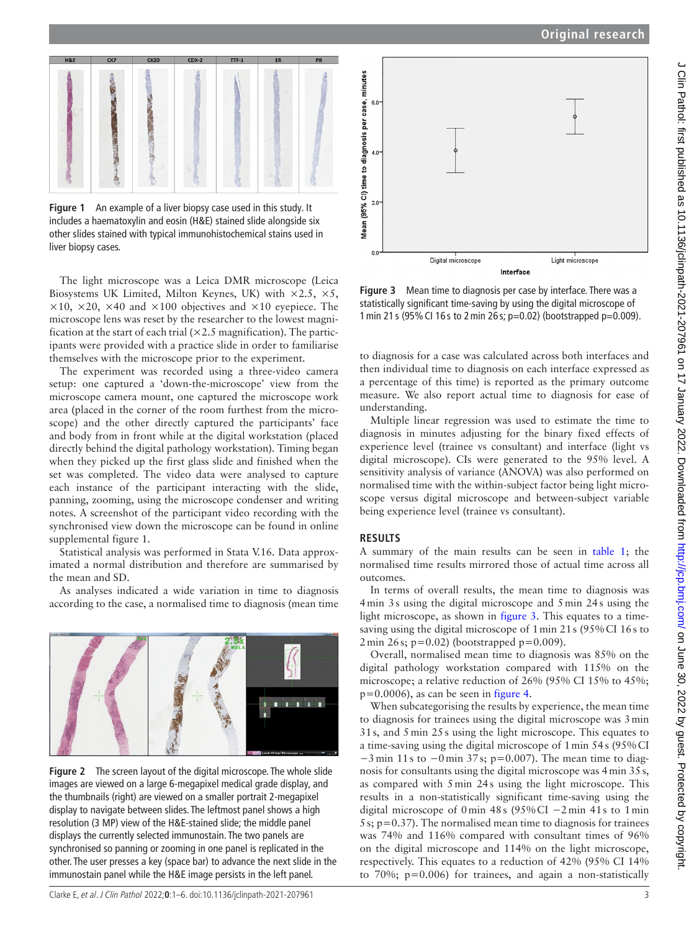



<span id="page-2-0"></span>**Figure 1** An example of a liver biopsy case used in this study. It includes a haematoxylin and eosin (H&E) stained slide alongside six other slides stained with typical immunohistochemical stains used in liver biopsy cases.

The light microscope was a Leica DMR microscope (Leica Biosystems UK Limited, Milton Keynes, UK) with  $\times 2.5$ ,  $\times 5$ ,  $\times$ 10,  $\times$ 20,  $\times$ 40 and  $\times$ 100 objectives and  $\times$ 10 eyepiece. The microscope lens was reset by the researcher to the lowest magnification at the start of each trial  $(\times 2.5 \text{ magnification})$ . The participants were provided with a practice slide in order to familiarise themselves with the microscope prior to the experiment.

The experiment was recorded using a three-video camera setup: one captured a 'down-the-microscope' view from the microscope camera mount, one captured the microscope work area (placed in the corner of the room furthest from the microscope) and the other directly captured the participants' face and body from in front while at the digital workstation (placed directly behind the digital pathology workstation). Timing began when they picked up the first glass slide and finished when the set was completed. The video data were analysed to capture each instance of the participant interacting with the slide, panning, zooming, using the microscope condenser and writing notes. A screenshot of the participant video recording with the synchronised view down the microscope can be found in [online](https://dx.doi.org/10.1136/jclinpath-2021-207961)  [supplemental figure 1.](https://dx.doi.org/10.1136/jclinpath-2021-207961)

Statistical analysis was performed in Stata V.16. Data approximated a normal distribution and therefore are summarised by the mean and SD.

As analyses indicated a wide variation in time to diagnosis according to the case, a normalised time to diagnosis (mean time

<span id="page-2-1"></span>

**Figure 2** The screen layout of the digital microscope. The whole slide images are viewed on a large 6-megapixel medical grade display, and the thumbnails (right) are viewed on a smaller portrait 2-megapixel display to navigate between slides. The leftmost panel shows a high resolution (3 MP) view of the H&E-stained slide; the middle panel displays the currently selected immunostain. The two panels are synchronised so panning or zooming in one panel is replicated in the other. The user presses a key (space bar) to advance the next slide in the immunostain panel while the H&E image persists in the left panel.



<span id="page-2-2"></span>**Figure 3** Mean time to diagnosis per case by interface. There was a statistically significant time-saving by using the digital microscope of 1min 21 s (95%CI 16 s to 2min 26 s; p=0.02) (bootstrapped p=0.009).

to diagnosis for a case was calculated across both interfaces and then individual time to diagnosis on each interface expressed as a percentage of this time) is reported as the primary outcome measure. We also report actual time to diagnosis for ease of understanding.

Multiple linear regression was used to estimate the time to diagnosis in minutes adjusting for the binary fixed effects of experience level (trainee vs consultant) and interface (light vs digital microscope). CIs were generated to the 95% level. A sensitivity analysis of variance (ANOVA) was also performed on normalised time with the within-subject factor being light microscope versus digital microscope and between-subject variable being experience level (trainee vs consultant).

### **RESULTS**

A summary of the main results can be seen in [table](#page-1-0) 1; the normalised time results mirrored those of actual time across all outcomes.

In terms of overall results, the mean time to diagnosis was 4min 3s using the digital microscope and 5min 24s using the light microscope, as shown in [figure](#page-2-2) 3. This equates to a timesaving using the digital microscope of 1min 21s (95%CI 16s to 2min 26s; p=0.02) (bootstrapped p=0.009).

Overall, normalised mean time to diagnosis was 85% on the digital pathology workstation compared with 115% on the microscope; a relative reduction of 26% (95% CI 15% to 45%;  $p=0.0006$ , as can be seen in [figure](#page-3-0) 4.

When subcategorising the results by experience, the mean time to diagnosis for trainees using the digital microscope was 3min 31s, and 5min 25s using the light microscope. This equates to a time-saving using the digital microscope of 1min 54s (95%CI −3 min 11 s to −0 min 37 s; p=0.007). The mean time to diagnosis for consultants using the digital microscope was 4min 35s, as compared with 5min 24s using the light microscope. This results in a non-statistically significant time-saving using the digital microscope of 0 min 48 s (95% CI −2 min 41 s to 1 min  $5s$ ;  $p=0.37$ ). The normalised mean time to diagnosis for trainees was 74% and 116% compared with consultant times of 96% on the digital microscope and 114% on the light microscope, respectively. This equates to a reduction of 42% (95% CI 14% to 70%; p=0.006) for trainees, and again a non-statistically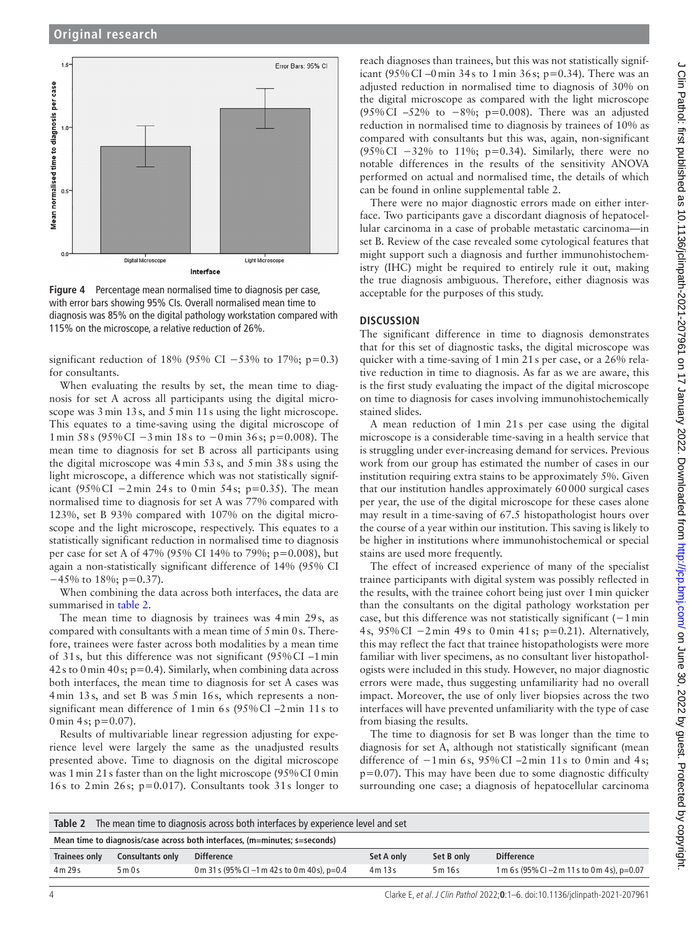

<span id="page-3-0"></span>**Figure 4** Percentage mean normalised time to diagnosis per case, with error bars showing 95% CIs. Overall normalised mean time to diagnosis was 85% on the digital pathology workstation compared with 115% on the microscope, a relative reduction of 26%.

significant reduction of 18% (95% CI  $-53%$  to 17%; p=0.3) for consultants.

When evaluating the results by set, the mean time to diagnosis for set A across all participants using the digital microscope was  $3 \text{ min } 13 \text{ s}$ , and  $5 \text{ min } 11 \text{ s}$  using the light microscope. This equates to a time-saving using the digital microscope of 1 min 58 s (95% CI −3 min 18 s to −0 min 36 s; p=0.008). The mean time to diagnosis for set B across all participants using the digital microscope was 4min 53s, and 5min 38s using the light microscope, a difference which was not statistically significant (95% CI −2 min 24 s to 0 min 54 s; p=0.35). The mean normalised time to diagnosis for set A was 77% compared with 123%, set B 93% compared with 107% on the digital microscope and the light microscope, respectively. This equates to a statistically significant reduction in normalised time to diagnosis per case for set A of 47% (95% CI 14% to 79%; p=0.008), but again a non-statistically significant difference of 14% (95% CI −45% to 18%; p=0.37).

When combining the data across both interfaces, the data are summarised in [table](#page-3-1) 2.

The mean time to diagnosis by trainees was 4min 29s, as compared with consultants with a mean time of 5min 0s. Therefore, trainees were faster across both modalities by a mean time of 31s, but this difference was not significant (95%CI –1min 42s to 0 min 40s;  $p=0.4$ ). Similarly, when combining data across both interfaces, the mean time to diagnosis for set A cases was 4min 13s, and set B was 5min 16s, which represents a nonsignificant mean difference of 1min 6s (95%CI –2min 11s to 0 min 4s;  $p=0.07$ ).

Results of multivariable linear regression adjusting for experience level were largely the same as the unadjusted results presented above. Time to diagnosis on the digital microscope was 1min 21s faster than on the light microscope (95%CI 0min 16s to 2min 26s; p=0.017). Consultants took 31s longer to

reach diagnoses than trainees, but this was not statistically significant (95% CI –0 min 34s to 1 min 36s; p=0.34). There was an adjusted reduction in normalised time to diagnosis of 30% on the digital microscope as compared with the light microscope (95% CI –52% to −8%; p=0.008). There was an adjusted reduction in normalised time to diagnosis by trainees of 10% as compared with consultants but this was, again, non-significant (95% CI −32% to 11%; p=0.34). Similarly, there were no notable differences in the results of the sensitivity ANOVA performed on actual and normalised time, the details of which can be found in [online supplemental table 2.](https://dx.doi.org/10.1136/jclinpath-2021-207961)

There were no major diagnostic errors made on either interface. Two participants gave a discordant diagnosis of hepatocellular carcinoma in a case of probable metastatic carcinoma—in set B. Review of the case revealed some cytological features that might support such a diagnosis and further immunohistochemistry (IHC) might be required to entirely rule it out, making the true diagnosis ambiguous. Therefore, either diagnosis was acceptable for the purposes of this study.

## **DISCUSSION**

The significant difference in time to diagnosis demonstrates that for this set of diagnostic tasks, the digital microscope was quicker with a time-saving of 1min 21s per case, or a 26% relative reduction in time to diagnosis. As far as we are aware, this is the first study evaluating the impact of the digital microscope on time to diagnosis for cases involving immunohistochemically stained slides.

A mean reduction of 1min 21s per case using the digital microscope is a considerable time-saving in a health service that is struggling under ever-increasing demand for services. Previous work from our group has estimated the number of cases in our institution requiring extra stains to be approximately 5%. Given that our institution handles approximately 60000 surgical cases per year, the use of the digital microscope for these cases alone may result in a time-saving of 67.5 histopathologist hours over the course of a year within our institution. This saving is likely to be higher in institutions where immunohistochemical or special stains are used more frequently.

The effect of increased experience of many of the specialist trainee participants with digital system was possibly reflected in the results, with the trainee cohort being just over 1min quicker than the consultants on the digital pathology workstation per case, but this difference was not statistically significant (−1 min 4 s, 95% CI −2 min 49 s to 0 min 41 s; p=0.21). Alternatively, this may reflect the fact that trainee histopathologists were more familiar with liver specimens, as no consultant liver histopathologists were included in this study. However, no major diagnostic errors were made, thus suggesting unfamiliarity had no overall impact. Moreover, the use of only liver biopsies across the two interfaces will have prevented unfamiliarity with the type of case from biasing the results.

The time to diagnosis for set B was longer than the time to diagnosis for set A, although not statistically significant (mean difference of −1 min 6 s, 95% CI –2 min 11 s to 0 min and 4 s;  $p=0.07$ ). This may have been due to some diagnostic difficulty surrounding one case; a diagnosis of hepatocellular carcinoma

<span id="page-3-1"></span>

| The mean time to diagnosis across both interfaces by experience level and set<br>Table 2 |                  |                                                |            |            |                                                 |  |  |  |  |  |
|------------------------------------------------------------------------------------------|------------------|------------------------------------------------|------------|------------|-------------------------------------------------|--|--|--|--|--|
| Mean time to diagnosis/case across both interfaces, (m=minutes; s=seconds)               |                  |                                                |            |            |                                                 |  |  |  |  |  |
| <b>Trainees only</b>                                                                     | Consultants only | <b>Difference</b>                              | Set A only | Set B only | <b>Difference</b>                               |  |  |  |  |  |
| 4m 29s                                                                                   | 5m0s             | 0 m 31 s (95% CI -1 m 42 s to 0 m 40 s), p=0.4 | 4m13s      | 5 m 16 s   | 1 m 6 s (95% CI $-2$ m 11 s to 0 m 4 s), p=0.07 |  |  |  |  |  |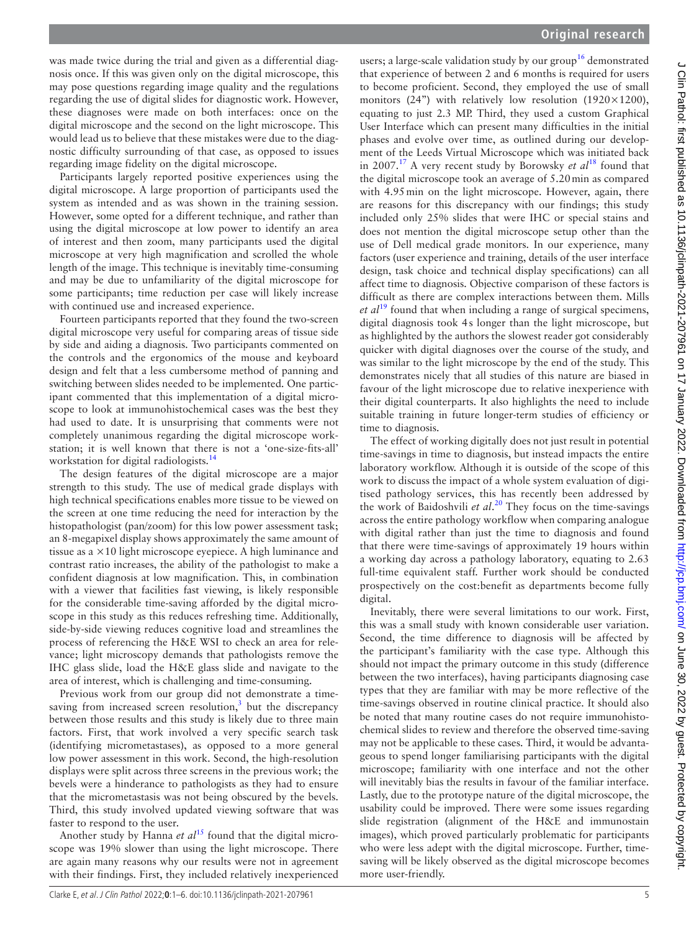was made twice during the trial and given as a differential diagnosis once. If this was given only on the digital microscope, this may pose questions regarding image quality and the regulations regarding the use of digital slides for diagnostic work. However, these diagnoses were made on both interfaces: once on the digital microscope and the second on the light microscope. This would lead us to believe that these mistakes were due to the diagnostic difficulty surrounding of that case, as opposed to issues regarding image fidelity on the digital microscope.

Participants largely reported positive experiences using the digital microscope. A large proportion of participants used the system as intended and as was shown in the training session. However, some opted for a different technique, and rather than using the digital microscope at low power to identify an area of interest and then zoom, many participants used the digital microscope at very high magnification and scrolled the whole length of the image. This technique is inevitably time-consuming and may be due to unfamiliarity of the digital microscope for some participants; time reduction per case will likely increase with continued use and increased experience.

Fourteen participants reported that they found the two-screen digital microscope very useful for comparing areas of tissue side by side and aiding a diagnosis. Two participants commented on the controls and the ergonomics of the mouse and keyboard design and felt that a less cumbersome method of panning and switching between slides needed to be implemented. One participant commented that this implementation of a digital microscope to look at immunohistochemical cases was the best they had used to date. It is unsurprising that comments were not completely unanimous regarding the digital microscope workstation; it is well known that there is not a 'one-size-fits-all' workstation for digital radiologists.<sup>[14](#page-5-10)</sup>

The design features of the digital microscope are a major strength to this study. The use of medical grade displays with high technical specifications enables more tissue to be viewed on the screen at one time reducing the need for interaction by the histopathologist (pan/zoom) for this low power assessment task; an 8-megapixel display shows approximately the same amount of tissue as a ×10 light microscope eyepiece. A high luminance and contrast ratio increases, the ability of the pathologist to make a confident diagnosis at low magnification. This, in combination with a viewer that facilities fast viewing, is likely responsible for the considerable time-saving afforded by the digital microscope in this study as this reduces refreshing time. Additionally, side-by-side viewing reduces cognitive load and streamlines the process of referencing the H&E WSI to check an area for relevance; light microscopy demands that pathologists remove the IHC glass slide, load the H&E glass slide and navigate to the area of interest, which is challenging and time-consuming.

Previous work from our group did not demonstrate a timesaving from increased screen resolution, $3$  but the discrepancy between those results and this study is likely due to three main factors. First, that work involved a very specific search task (identifying micrometastases), as opposed to a more general low power assessment in this work. Second, the high-resolution displays were split across three screens in the previous work; the bevels were a hinderance to pathologists as they had to ensure that the micrometastasis was not being obscured by the bevels. Third, this study involved updated viewing software that was faster to respond to the user.

Another study by Hanna *et al*<sup>[15](#page-5-11)</sup> found that the digital microscope was 19% slower than using the light microscope. There are again many reasons why our results were not in agreement with their findings. First, they included relatively inexperienced

users; a large-scale validation study by our group<sup>[16](#page-5-12)</sup> demonstrated that experience of between 2 and 6 months is required for users to become proficient. Second, they employed the use of small monitors (24") with relatively low resolution (1920 $\times$ 1200), equating to just 2.3 MP. Third, they used a custom Graphical User Interface which can present many difficulties in the initial phases and evolve over time, as outlined during our development of the Leeds Virtual Microscope which was initiated back in 2007.<sup>17</sup> A very recent study by Borowsky *et al*<sup>18</sup> found that the digital microscope took an average of 5.20min as compared with 4.95 min on the light microscope. However, again, there are reasons for this discrepancy with our findings; this study included only 25% slides that were IHC or special stains and does not mention the digital microscope setup other than the use of Dell medical grade monitors. In our experience, many factors (user experience and training, details of the user interface design, task choice and technical display specifications) can all affect time to diagnosis. Objective comparison of these factors is difficult as there are complex interactions between them. Mills *et al*[19](#page-5-15) found that when including a range of surgical specimens, digital diagnosis took 4s longer than the light microscope, but as highlighted by the authors the slowest reader got considerably quicker with digital diagnoses over the course of the study, and was similar to the light microscope by the end of the study. This demonstrates nicely that all studies of this nature are biased in favour of the light microscope due to relative inexperience with their digital counterparts. It also highlights the need to include suitable training in future longer-term studies of efficiency or time to diagnosis.

The effect of working digitally does not just result in potential time-savings in time to diagnosis, but instead impacts the entire laboratory workflow. Although it is outside of the scope of this work to discuss the impact of a whole system evaluation of digitised pathology services, this has recently been addressed by the work of Baidoshvili *et al*. [20](#page-5-16) They focus on the time-savings across the entire pathology workflow when comparing analogue with digital rather than just the time to diagnosis and found that there were time-savings of approximately 19 hours within a working day across a pathology laboratory, equating to 2.63 full-time equivalent staff. Further work should be conducted prospectively on the cost:benefit as departments become fully digital.

Inevitably, there were several limitations to our work. First, this was a small study with known considerable user variation. Second, the time difference to diagnosis will be affected by the participant's familiarity with the case type. Although this should not impact the primary outcome in this study (difference between the two interfaces), having participants diagnosing case types that they are familiar with may be more reflective of the time-savings observed in routine clinical practice. It should also be noted that many routine cases do not require immunohistochemical slides to review and therefore the observed time-saving may not be applicable to these cases. Third, it would be advantageous to spend longer familiarising participants with the digital microscope; familiarity with one interface and not the other will inevitably bias the results in favour of the familiar interface. Lastly, due to the prototype nature of the digital microscope, the usability could be improved. There were some issues regarding slide registration (alignment of the H&E and immunostain images), which proved particularly problematic for participants who were less adept with the digital microscope. Further, timesaving will be likely observed as the digital microscope becomes more user-friendly.